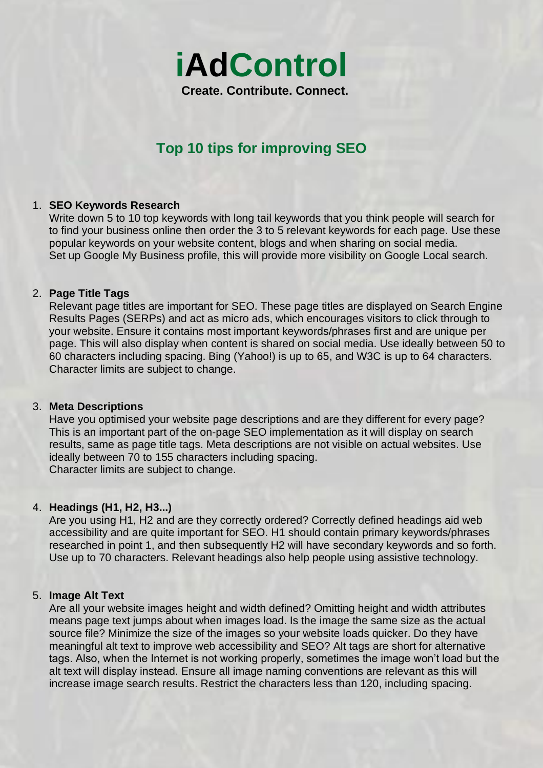

# **Top 10 tips for improving SEO**

# 1. **SEO Keywords Research**

Write down 5 to 10 top keywords with long tail keywords that you think people will search for to find your business online then order the 3 to 5 relevant keywords for each page. Use these popular keywords on your website content, blogs and when sharing on social media. Set up Google My Business profile, this will provide more visibility on Google Local search.

### 2. **Page Title Tags**

Relevant page titles are important for SEO. These page titles are displayed on Search Engine Results Pages (SERPs) and act as micro ads, which encourages visitors to click through to your website. Ensure it contains most important keywords/phrases first and are unique per page. This will also display when content is shared on social media. Use ideally between 50 to 60 characters including spacing. Bing (Yahoo!) is up to 65, and W3C is up to 64 characters. Character limits are subject to change.

#### 3. **Meta Descriptions**

Have you optimised your website page descriptions and are they different for every page? This is an important part of the on-page SEO implementation as it will display on search results, same as page title tags. Meta descriptions are not visible on actual websites. Use ideally between 70 to 155 characters including spacing. Character limits are subject to change.

# 4. **Headings (H1, H2, H3...)**

Are you using H1, H2 and are they correctly ordered? Correctly defined headings aid web accessibility and are quite important for SEO. H1 should contain primary keywords/phrases researched in point 1, and then subsequently H2 will have secondary keywords and so forth. Use up to 70 characters. Relevant headings also help people using assistive technology.

#### 5. **Image Alt Text**

Are all your website images height and width defined? Omitting height and width attributes means page text jumps about when images load. Is the image the same size as the actual source file? Minimize the size of the images so your website loads quicker. Do they have meaningful alt text to improve web accessibility and SEO? Alt tags are short for alternative tags. Also, when the Internet is not working properly, sometimes the image won't load but the alt text will display instead. Ensure all image naming conventions are relevant as this will increase image search results. Restrict the characters less than 120, including spacing.